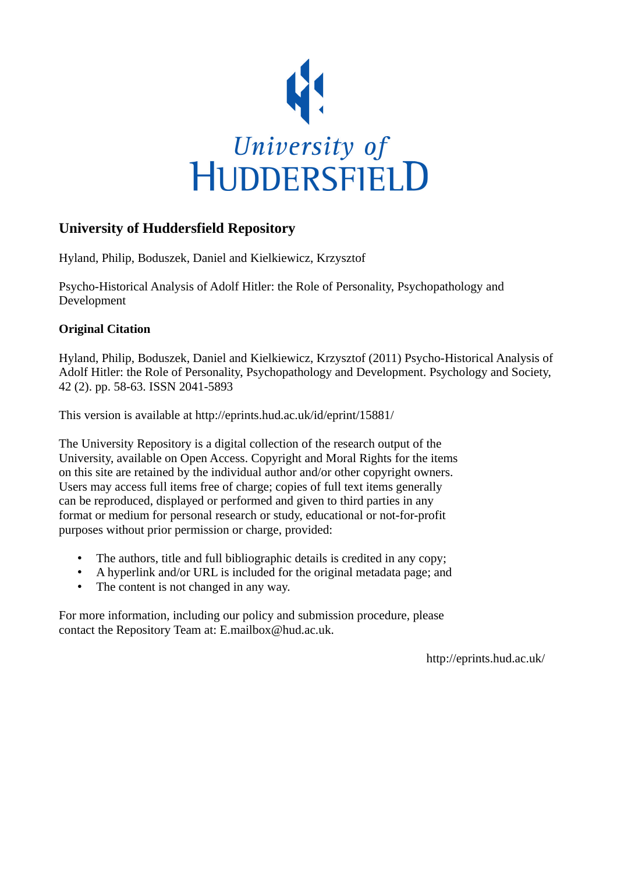

## **University of Huddersfield Repository**

Hyland, Philip, Boduszek, Daniel and Kielkiewicz, Krzysztof

Psycho-Historical Analysis of Adolf Hitler: the Role of Personality, Psychopathology and Development

#### **Original Citation**

Hyland, Philip, Boduszek, Daniel and Kielkiewicz, Krzysztof (2011) Psycho-Historical Analysis of Adolf Hitler: the Role of Personality, Psychopathology and Development. Psychology and Society, 42 (2). pp. 58-63. ISSN 2041-5893

This version is available at http://eprints.hud.ac.uk/id/eprint/15881/

The University Repository is a digital collection of the research output of the University, available on Open Access. Copyright and Moral Rights for the items on this site are retained by the individual author and/or other copyright owners. Users may access full items free of charge; copies of full text items generally can be reproduced, displayed or performed and given to third parties in any format or medium for personal research or study, educational or not-for-profit purposes without prior permission or charge, provided:

- The authors, title and full bibliographic details is credited in any copy;
- A hyperlink and/or URL is included for the original metadata page; and
- The content is not changed in any way.

For more information, including our policy and submission procedure, please contact the Repository Team at: E.mailbox@hud.ac.uk.

http://eprints.hud.ac.uk/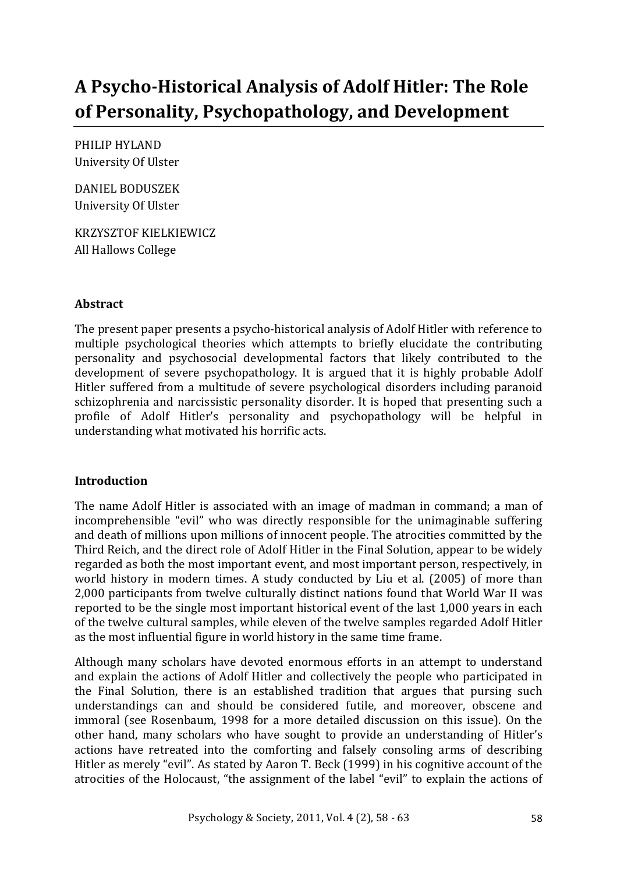# A Psycho-Historical Analysis of Adolf Hitler: The Role of Personality, Psychopathology, and Development

PHILIP)HYLAND ))))))))))))))))))))))))))))))))))))))))))))))))))))))))))))))))))))))))))))))))))))))))))))))))))))))))))))))))))))))))))))))))))))))))))))))) University Of Ulster

DANIEL)BODUSZEK))))))))))))))))))))))))))))))))))))))))))))))))))))))))))))))))))))))))))))))))))))))))))))))))))))))))))))))))))))))))))))))))))))))))))))))))))))))))) University Of Ulster

KRZYSZTOF)KIELKIEWICZ)))))))))))))))))))))))))))))))))))))))))))))))))))))))))))))))))))))))))))))))))))))))))))))))))))))))))))))))))))))))))))))))))))))))))))))))))))))))) All Hallows College

#### **Abstract**

The present paper presents a psycho-historical analysis of Adolf Hitler with reference to multiple psychological theories which attempts to briefly elucidate the contributing personality) and) psychosocial) developmental) factors) that) likely) contributed) to) the) development of severe psychopathology. It is argued that it is highly probable Adolf Hitler suffered from a multitude of severe psychological disorders including paranoid schizophrenia and narcissistic personality disorder. It is hoped that presenting such a profile) of) Adolf) Hitler's) personality) and) psychopathology) will) be) helpful) in) understanding what motivated his horrific acts.

#### **Introduction**

The name Adolf Hitler is associated with an image of madman in command; a man of incomprehensible "evil" who was directly responsible for the unimaginable suffering and death of millions upon millions of innocent people. The atrocities committed by the Third Reich, and the direct role of Adolf Hitler in the Final Solution, appear to be widely regarded as both the most important event, and most important person, respectively, in world history in modern times. A study conducted by Liu et al. (2005) of more than 2,000 participants from twelve culturally distinct nations found that World War II was reported to be the single most important historical event of the last 1,000 years in each of the twelve cultural samples, while eleven of the twelve samples regarded Adolf Hitler as the most influential figure in world history in the same time frame.

Although many scholars have devoted enormous efforts in an attempt to understand and explain the actions of Adolf Hitler and collectively the people who participated in the Final Solution, there is an established tradition that argues that pursing such understandings can and should be considered futile, and moreover, obscene and immoral (see Rosenbaum, 1998 for a more detailed discussion on this issue). On the other hand, many scholars who have sought to provide an understanding of Hitler's actions) have retreated into the comforting and falsely consoling arms of describing Hitler as merely "evil". As stated by Aaron T. Beck (1999) in his cognitive account of the atrocities of the Holocaust, "the assignment of the label "evil" to explain the actions of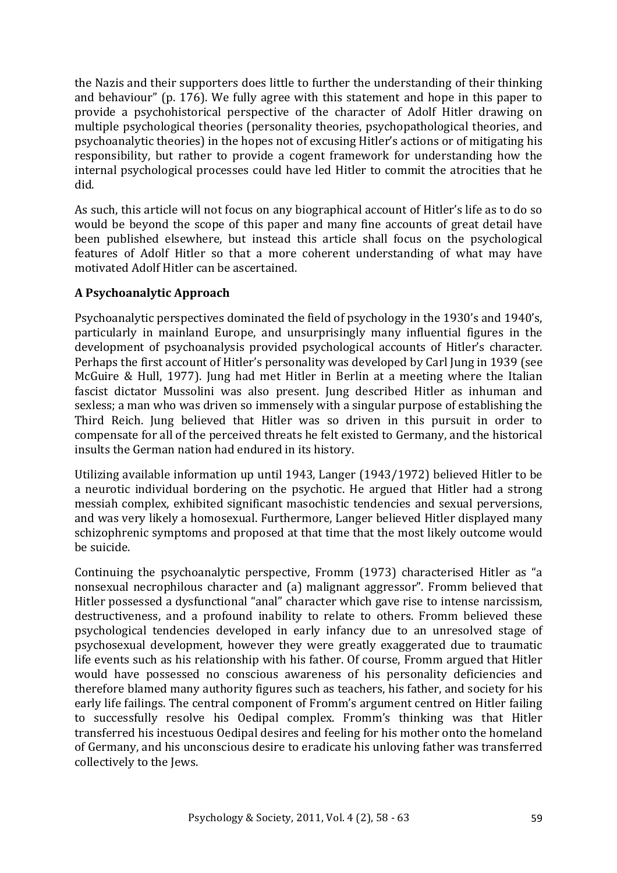the Nazis and their supporters does little to further the understanding of their thinking and behaviour" (p. 176). We fully agree with this statement and hope in this paper to provide a psychohistorical perspective of the character of Adolf Hitler drawing on multiple psychological theories (personality theories, psychopathological theories, and psychoanalytic theories) in the hopes not of excusing Hitler's actions or of mitigating his responsibility, but rather to provide a cogent framework for understanding how the internal psychological processes could have led Hitler to commit the atrocities that he did.

As such, this article will not focus on any biographical account of Hitler's life as to do so would be beyond the scope of this paper and many fine accounts of great detail have been published elsewhere, but instead this article shall focus on the psychological features of Adolf Hitler so that a more coherent understanding of what may have motivated Adolf Hitler can be ascertained.

#### **A"Psychoanalytic"Approach"**

Psychoanalytic perspectives dominated the field of psychology in the 1930's and 1940's, particularly in mainland Europe, and unsurprisingly many influential figures in the development of psychoanalysis provided psychological accounts of Hitler's character. Perhaps the first account of Hitler's personality was developed by Carl Jung in 1939 (see McGuire & Hull, 1977). Jung had met Hitler in Berlin at a meeting where the Italian fascist dictator Mussolini was also present. Jung described Hitler as inhuman and sexless; a man who was driven so immensely with a singular purpose of establishing the Third Reich. Jung believed that Hitler was so driven in this pursuit in order to compensate for all of the perceived threats he felt existed to Germany, and the historical insults the German nation had endured in its history.

Utilizing available information up until 1943, Langer (1943/1972) believed Hitler to be a neurotic individual bordering on the psychotic. He argued that Hitler had a strong messiah complex, exhibited significant masochistic tendencies and sexual perversions, and was very likely a homosexual. Furthermore, Langer believed Hitler displayed many schizophrenic symptoms and proposed at that time that the most likely outcome would be suicide.

Continuing the psychoanalytic perspective, Fromm (1973) characterised Hitler as "a nonsexual necrophilous character and (a) malignant aggressor". Fromm believed that Hitler possessed a dysfunctional "anal" character which gave rise to intense narcissism, destructiveness, and a profound inability to relate to others. Fromm believed these psychological) tendencies) developed) in) early) infancy) due) to) an) unresolved) stage) of) psychosexual) development,) however) they) were) greatly) exaggerated) due) to) traumatic) life events such as his relationship with his father. Of course, Fromm argued that Hitler would have possessed no conscious awareness of his personality deficiencies and therefore blamed many authority figures such as teachers, his father, and society for his early life failings. The central component of Fromm's argument centred on Hitler failing to successfully resolve his Oedipal complex. Fromm's thinking was that Hitler transferred his incestuous Oedipal desires and feeling for his mother onto the homeland of Germany, and his unconscious desire to eradicate his unloving father was transferred collectively to the Jews.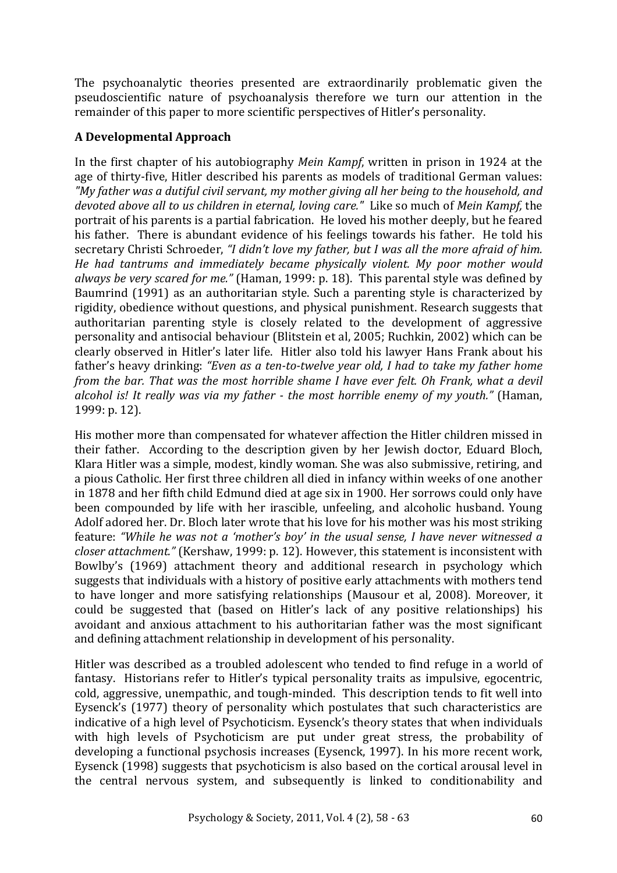The psychoanalytic theories presented are extraordinarily problematic given the pseudoscientific nature of psychoanalysis therefore we turn our attention in the remainder of this paper to more scientific perspectives of Hitler's personality.

#### **A"Developmental"Approach**

In the first chapter of his autobiography *Mein Kampf*, written in prison in 1924 at the age of thirty-five, Hitler described his parents as models of traditional German values: *"My%father%was%a%dutiful%civil%servant,%my%mother%giving%all%her%being%to%the%household,%and devoted%above%all%to%us%children%in%eternal,%loving%care."%%*Like)so)much)of)*Mein%Kampf,* the) portrait of his parents is a partial fabrication. He loved his mother deeply, but he feared his father. There is abundant evidence of his feelings towards his father. He told his secretary Christi Schroeder, "I didn't love my father, but I was all the more afraid of him. *He had tantrums and immediately became physically violent. My poor mother would* always be very scared for me." (Haman, 1999: p. 18). This parental style was defined by Baumrind (1991) as an authoritarian style. Such a parenting style is characterized by rigidity, obedience without questions, and physical punishment. Research suggests that authoritarian parenting style is closely related to the development of aggressive personality and antisocial behaviour (Blitstein et al, 2005; Ruchkin, 2002) which can be clearly observed in Hitler's later life. Hitler also told his lawyer Hans Frank about his father's heavy drinking: "Even as a ten-to-twelve year old, I had to take my father home *from the bar. That was the most horrible shame I have ever felt. Oh Frank, what a devil alcohol%is!% It% really% was% via%my%father%B the%most% horrible% enemy% of%my% youth."%*(Haman,) 1999: p. 12).

His mother more than compensated for whatever affection the Hitler children missed in their father. According to the description given by her Jewish doctor, Eduard Bloch, Klara Hitler was a simple, modest, kindly woman. She was also submissive, retiring, and a pious Catholic. Her first three children all died in infancy within weeks of one another in)1878 and her fifth child Edmund died at age six in 1900. Her sorrows could only have been compounded by life with her irascible, unfeeling, and alcoholic husband. Young Adolf adored her. Dr. Bloch later wrote that his love for his mother was his most striking feature: "While he was not a 'mother's boy' in the usual sense, I have never witnessed a *closer attachment."* (Kershaw, 1999: p. 12). However, this statement is inconsistent with Bowlby's (1969) attachment theory and additional research in psychology which suggests that individuals with a history of positive early attachments with mothers tend to have longer and more satisfying relationships (Mausour et al, 2008). Moreover, it could be suggested that (based on Hitler's lack of any positive relationships) his avoidant and anxious attachment to his authoritarian father was the most significant and defining attachment relationship in development of his personality.

Hitler was described as a troubled adolescent who tended to find refuge in a world of fantasy. Historians refer to Hitler's typical personality traits as impulsive, egocentric, cold, aggressive, unempathic, and tough-minded. This description tends to fit well into Eysenck's (1977) theory of personality which postulates that such characteristics are indicative of a high level of Psychoticism. Eysenck's theory states that when individuals with high levels of Psychoticism are put under great stress, the probability of developing a functional psychosis increases (Eysenck, 1997). In his more recent work, Eysenck (1998) suggests that psychoticism is also based on the cortical arousal level in the central nervous system, and subsequently is linked to conditionability and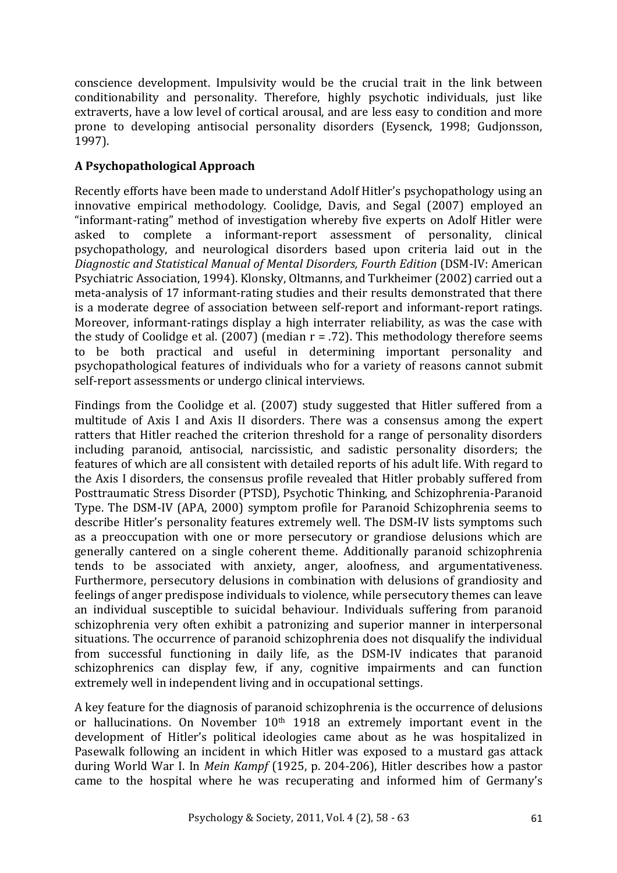conscience development. Impulsivity would be the crucial trait in the link between conditionability and personality. Therefore, highly psychotic individuals, just like extraverts, have a low level of cortical arousal, and are less easy to condition and more prone to developing antisocial personality disorders (Eysenck, 1998; Gudjonsson, 1997).

## **A"Psychopathological"Approach**

Recently efforts have been made to understand Adolf Hitler's psychopathology using an innovative empirical methodology. Coolidge, Davis, and Segal (2007) employed an "informant-rating" method of investigation whereby five experts on Adolf Hitler were asked to complete a informant-report assessment of personality, clinical psychopathology,) and) neurological) disorders) based) upon) criteria) laid) out) in) the) *Diagnostic%and%Statistical%Manual%of%Mental%Disorders,%Fourth%Edition* (DSM:IV:)American Psychiatric Association, 1994). Klonsky, Oltmanns, and Turkheimer (2002) carried out a meta-analysis of 17 informant-rating studies and their results demonstrated that there is a moderate degree of association between self-report and informant-report ratings. Moreover, informant-ratings display a high interrater reliability, as was the case with the study of Coolidge et al. (2007) (median  $r = .72$ ). This methodology therefore seems to be both practical and useful in determining important personality and psychopathological features of individuals who for a variety of reasons cannot submit self-report assessments or undergo clinical interviews.

Findings from the Coolidge et al. (2007) study suggested that Hitler suffered from a multitude of Axis I and Axis II disorders. There was a consensus among the expert ratters that)Hitler reached the criterion threshold for a range of personality disorders including paranoid, antisocial, narcissistic, and sadistic personality disorders; the features of which are all consistent with detailed reports of his adult life. With regard to the Axis I disorders, the consensus profile revealed that Hitler probably suffered from Posttraumatic Stress Disorder (PTSD), Psychotic Thinking, and Schizophrenia-Paranoid Type. The DSM-IV (APA, 2000) symptom profile for Paranoid Schizophrenia seems to describe Hitler's personality features extremely well. The DSM-IV lists symptoms such as a preoccupation with one or more persecutory or grandiose delusions which are generally cantered on a single coherent theme. Additionally paranoid schizophrenia tends to be associated with anxiety, anger, aloofness, and argumentativeness. Furthermore, persecutory delusions in combination with delusions of grandiosity and feelings of anger predispose individuals to violence, while persecutory themes can leave an individual susceptible to suicidal behaviour. Individuals suffering from paranoid schizophrenia very often exhibit a patronizing and superior manner in interpersonal situations. The occurrence of paranoid schizophrenia does not disqualify the individual from successful functioning in daily life, as the DSM-IV indicates that paranoid schizophrenics can display few, if any, cognitive impairments and can function extremely well in independent living and in occupational settings.

A key feature for the diagnosis of paranoid schizophrenia is the occurrence of delusions or hallucinations. On November  $10<sup>th</sup>$  1918 an extremely important event in the development of Hitler's political ideologies came about as he was hospitalized in Pasewalk following an incident in which Hitler was exposed to a mustard gas attack during World War I. In *Mein Kampf* (1925, p. 204-206), Hitler describes how a pastor came to the hospital where he was recuperating and informed him of Germany's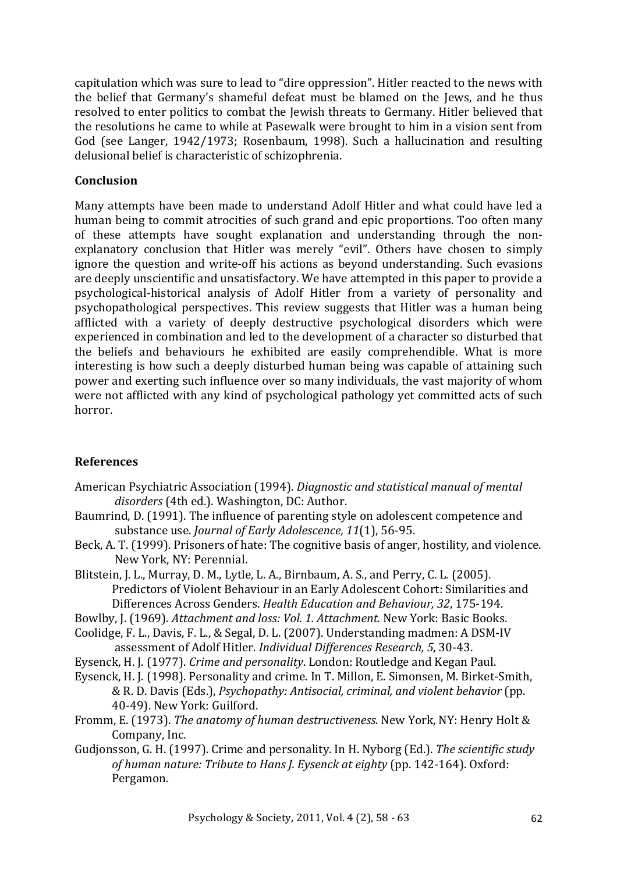capitulation which was sure to lead to "dire oppression". Hitler reacted to the news with the belief that Germany's shameful defeat must be blamed on the Jews, and he thus resolved to enter politics to combat the Jewish threats to Germany. Hitler believed that the resolutions he came to while at Pasewalk were brought to him in a vision sent from God (see Langer, 1942/1973; Rosenbaum, 1998). Such a hallucination and resulting delusional belief is characteristic of schizophrenia.

### **Conclusion**

Many attempts have been made to understand Adolf Hitler and what could have led a human being to commit atrocities of such grand and epic proportions. Too often many of) these) attempts) have) sought) explanation) and) understanding) through) the) non: explanatory conclusion that Hitler was merely "evil". Others have chosen to simply ignore the question and write-off his actions as beyond understanding. Such evasions are deeply unscientific and unsatisfactory. We have attempted in this paper to provide a psychological:historical) analysis) of) Adolf) Hitler) from) a) variety) of) personality) and) psychopathological perspectives. This review suggests that Hitler was a human being afflicted with a variety of deeply destructive psychological disorders which were experienced in combination and led to the development of a character so disturbed that the beliefs and behaviours he exhibited are easily comprehendible. What is more interesting is how such a deeply disturbed human being was capable of attaining such power and exerting such influence over so many individuals, the vast majority of whom were not afflicted with any kind of psychological pathology vet committed acts of such horror.

#### **References**

- American Psychiatric Association (1994). *Diagnostic and statistical manual of mental disorders* (4th ed.). Washington, DC: Author.
- Baumrind, D. (1991). The influence of parenting style on adolescent competence and substance use. *Journal of Early Adolescence*, 11(1), 56-95.
- Beck, A. T. (1999). Prisoners of hate: The cognitive basis of anger, hostility, and violence. New York, NY: Perennial.
- Blitstein, J. L., Murray, D. M., Lytle, L. A., Birnbaum, A. S., and Perry, C. L. (2005). Predictors of Violent Behaviour in an Early Adolescent Cohort: Similarities and Differences)Across)Genders.)*Health%Education%and%Behaviour,%32*,)175:194.

Bowlby, J. (1969). *Attachment and loss: Vol. 1. Attachment.* New York: Basic Books.

- Coolidge, F. L., Davis, F. L., & Segal, D. L. (2007). Understanding madmen: A DSM-IV assessment of Adolf Hitler. *Individual Differences Research*, 5, 30-43.
- Eysenck, H. J. (1977). *Crime and personality*. London: Routledge and Kegan Paul.
- Eysenck, H. J. (1998). Personality and crime. In T. Millon, E. Simonsen, M. Birket-Smith, & R.)D.)Davis)(Eds.),)*Psychopathy:%Antisocial,%criminal,%and%violent%behavior* (pp.) 40-49). New York: Guilford.
- Fromm, E. (1973). *The anatomy of human destructiveness*. New York, NY: Henry Holt & Company, Inc.
- Gudjonsson, G. H. (1997). Crime and personality. In H. Nyborg (Ed.). *The scientific study of human nature: Tribute to Hans J. Eysenck at eighty* (pp. 142-164). Oxford: Pergamon.